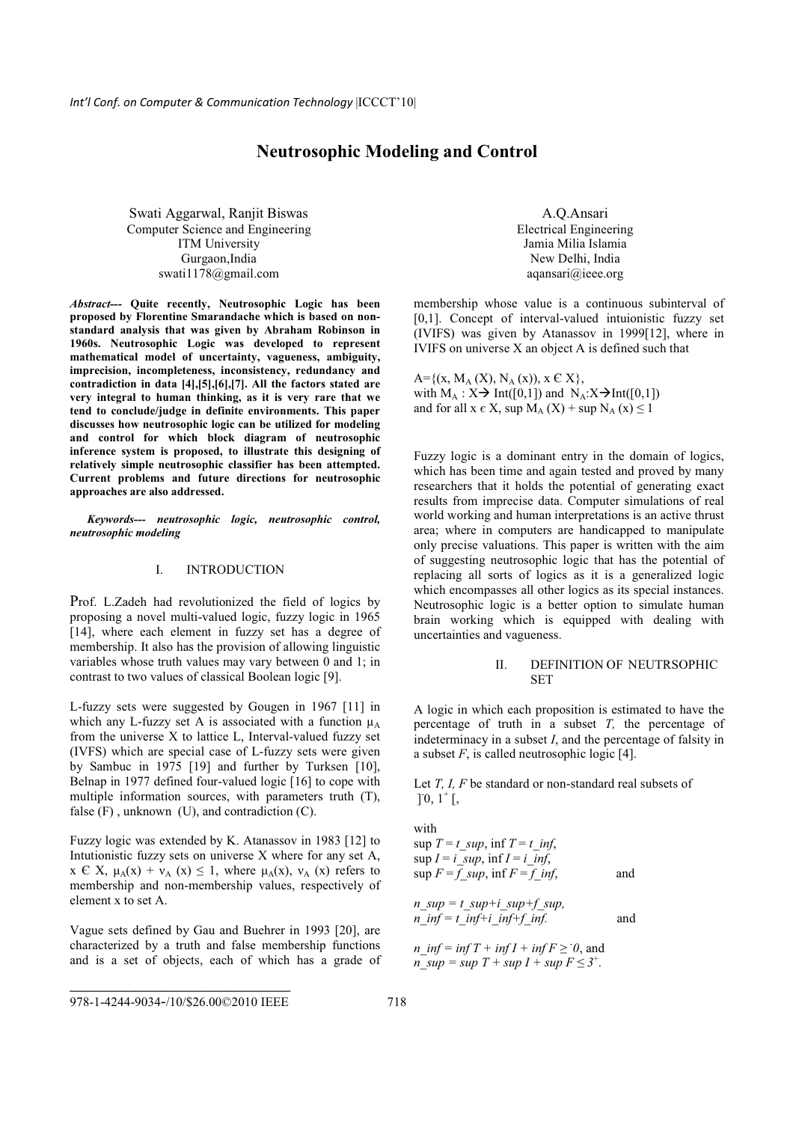# **Neutrosophic Modeling and Control**

Swati Aggarwal, Ranjit Biswas Computer Science and Engineering ITM University Gurgaon,India swati1178@gmail.com

*Abstract---* **Quite recently, Neutrosophic Logic has been proposed by Florentine Smarandache which is based on nonstandard analysis that was given by Abraham Robinson in 1960s. Neutrosophic Logic was developed to represent mathematical model of uncertainty, vagueness, ambiguity, imprecision, incompleteness, inconsistency, redundancy and contradiction in data [4],[5],[6],[7]. All the factors stated are very integral to human thinking, as it is very rare that we tend to conclude/judge in definite environments. This paper discusses how neutrosophic logic can be utilized for modeling and control for which block diagram of neutrosophic inference system is proposed, to illustrate this designing of relatively simple neutrosophic classifier has been attempted. Current problems and future directions for neutrosophic approaches are also addressed.**

 *Keywords--- neutrosophic logic, neutrosophic control, neutrosophic modeling* 

## I. INTRODUCTION

Prof. L.Zadeh had revolutionized the field of logics by proposing a novel multi-valued logic, fuzzy logic in 1965 [14], where each element in fuzzy set has a degree of membership. It also has the provision of allowing linguistic variables whose truth values may vary between 0 and 1; in contrast to two values of classical Boolean logic [9].

L-fuzzy sets were suggested by Gougen in 1967 [11] in which any L-fuzzy set A is associated with a function  $\mu_A$ from the universe X to lattice L, Interval-valued fuzzy set (IVFS) which are special case of L-fuzzy sets were given by Sambuc in 1975 [19] and further by Turksen [10], Belnap in 1977 defined four-valued logic [16] to cope with multiple information sources, with parameters truth (T), false  $(F)$ , unknown  $(U)$ , and contradiction  $(C)$ .

Fuzzy logic was extended by K. Atanassov in 1983 [12] to Intutionistic fuzzy sets on universe X where for any set A,  $x \in X$ ,  $\mu_A(x) + v_A(x) \le 1$ , where  $\mu_A(x)$ ,  $v_A(x)$  refers to membership and non-membership values, respectively of element x to set A.

Vague sets defined by Gau and Buehrer in 1993 [20], are characterized by a truth and false membership functions and is a set of objects, each of which has a grade of

A.Q.Ansari Electrical Engineering Jamia Milia Islamia New Delhi, India aqansari@ieee.org

membership whose value is a continuous subinterval of [0,1]. Concept of interval-valued intuionistic fuzzy set (IVIFS) was given by Atanassov in 1999[12], where in IVIFS on universe X an object A is defined such that

 $A = \{(x, M_A (X), N_A (x)), x \in X\},\$ with  $M_A$ :  $X \rightarrow Int([0,1])$  and  $N_A$ :  $X \rightarrow Int([0,1])$ and for all  $x \in X$ , sup  $M_A(X)$  + sup  $N_A(x) \le 1$ 

Fuzzy logic is a dominant entry in the domain of logics, which has been time and again tested and proved by many researchers that it holds the potential of generating exact results from imprecise data. Computer simulations of real world working and human interpretations is an active thrust area; where in computers are handicapped to manipulate only precise valuations. This paper is written with the aim of suggesting neutrosophic logic that has the potential of replacing all sorts of logics as it is a generalized logic which encompasses all other logics as its special instances. Neutrosophic logic is a better option to simulate human brain working which is equipped with dealing with uncertainties and vagueness.

### II. DEFINITION OF NEUTRSOPHIC **SET**

A logic in which each proposition is estimated to have the percentage of truth in a subset *T,* the percentage of indeterminacy in a subset *I*, and the percentage of falsity in a subset *F*, is called neutrosophic logic [4].

Let *T, I, F* be standard or non-standard real subsets of  $]0, 1^+$ [,

with  
\n
$$
\sup T = t \supseteq \inf T = t \infset,\n\sup I = i \supseteq \inf I = i \infset,\n\sup F = f \supseteq \inf F = f \infset,\n\lim_{n \to \infty} \inf T = t \supseteq \inf f \supseteq \inf I
$$
\nand  
\n
$$
\lim_{n \to \infty} \inf T = t \inf_{n \to \infty} \inf T + \inf T \supseteq 0, \text{ and}
$$

 $n\_sup = sup T + sup I + sup F \leq 3^{+}.$ 

**\_\_\_\_\_\_\_\_\_\_\_\_\_\_\_\_\_\_\_\_\_\_\_\_\_\_\_\_\_\_\_\_\_\_**  978-1-4244-9034-/10/\$26.00©2010 IEEE718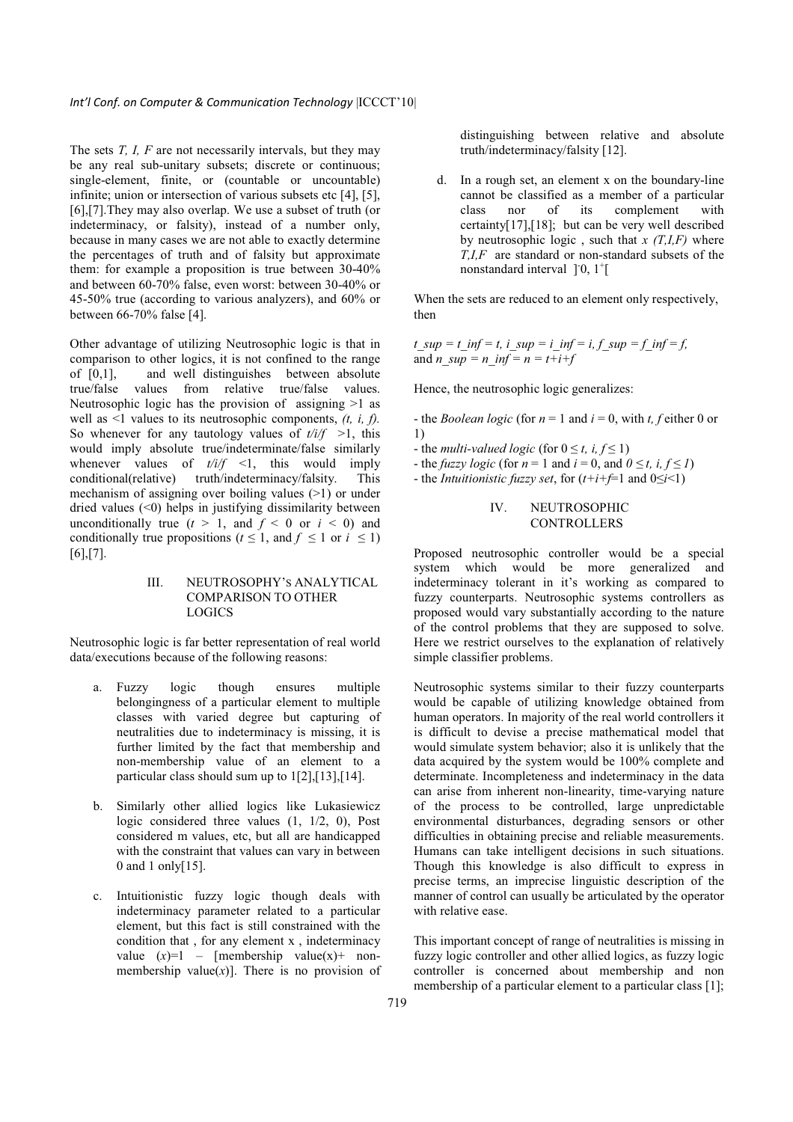The sets *T, I, F* are not necessarily intervals, but they may be any real sub-unitary subsets; discrete or continuous; single-element, finite, or (countable or uncountable) infinite; union or intersection of various subsets etc [4], [5], [6],[7].They may also overlap. We use a subset of truth (or indeterminacy, or falsity), instead of a number only, because in many cases we are not able to exactly determine the percentages of truth and of falsity but approximate them: for example a proposition is true between 30-40% and between 60-70% false, even worst: between 30-40% or 45-50% true (according to various analyzers), and 60% or between 66-70% false [4].

Other advantage of utilizing Neutrosophic logic is that in comparison to other logics, it is not confined to the range of [0,1], and well distinguishes between absolute true/false values from relative true/false values. Neutrosophic logic has the provision of assigning >1 as well as <1 values to its neutrosophic components, *(t, i, f).*  So whenever for any tautology values of  $t/i/f \geq 1$ , this would imply absolute true/indeterminate/false similarly whenever values of  $t/i/f \le 1$ , this would imply conditional(relative) truth/indeterminacy/falsity. This mechanism of assigning over boiling values (>1) or under dried values  $(\leq 0)$  helps in justifying dissimilarity between unconditionally true  $(t > 1$ , and  $f < 0$  or  $i < 0$ ) and conditionally true propositions ( $t \leq 1$ , and  $f \leq 1$  or  $i \leq 1$ )  $[6]$ , $[7]$ .

#### III. NEUTROSOPHY'S ANALYTICAL COMPARISON TO OTHER LOGICS

Neutrosophic logic is far better representation of real world data/executions because of the following reasons:

- a. Fuzzy logic though ensures multiple belongingness of a particular element to multiple classes with varied degree but capturing of neutralities due to indeterminacy is missing, it is further limited by the fact that membership and non-membership value of an element to a particular class should sum up to 1[2],[13],[14].
- b. Similarly other allied logics like Lukasiewicz logic considered three values (1, 1/2, 0), Post considered m values, etc, but all are handicapped with the constraint that values can vary in between 0 and 1 only[15].
- c. Intuitionistic fuzzy logic though deals with indeterminacy parameter related to a particular element, but this fact is still constrained with the condition that , for any element x , indeterminacy value  $(x)=1$  – [membership value $(x)$ + nonmembership value $(x)$ ]. There is no provision of

distinguishing between relative and absolute truth/indeterminacy/falsity [12].

d. In a rough set, an element x on the boundary-line cannot be classified as a member of a particular class nor of its complement with certainty[17],[18]; but can be very well described by neutrosophic logic, such that  $x(T, I, F)$  where *T,I,F* are standard or non-standard subsets of the nonstandard interval  $]$ <sup>-1</sup> $[$ 

When the sets are reduced to an element only respectively, then

 $t_$  sup =  $t_$  inf =  $t$ ,  $i_$  sup =  $i_$  inf =  $i_$ ,  $f_$  sup =  $f$  inf =  $f_$ , and *n\_sup = n\_inf = n = t+i+f* 

Hence, the neutrosophic logic generalizes:

- the *Boolean logic* (for  $n = 1$  and  $i = 0$ , with *t*, *f* either 0 or 1)

- the *multi-valued logic* (for  $0 \le t$ , *i*,  $f \le 1$ )
- the *fuzzy logic* (for  $n = 1$  and  $i = 0$ , and  $0 \le t, i, f \le 1$ )
- the *Intuitionistic fuzzy set*, for  $(t+i+\neq 1$  and  $0 \le i \le 1$ )

### IV. NEUTROSOPHIC **CONTROLLERS**

Proposed neutrosophic controller would be a special system which would be more generalized and indeterminacy tolerant in it's working as compared to fuzzy counterparts. Neutrosophic systems controllers as proposed would vary substantially according to the nature of the control problems that they are supposed to solve. Here we restrict ourselves to the explanation of relatively simple classifier problems.

Neutrosophic systems similar to their fuzzy counterparts would be capable of utilizing knowledge obtained from human operators. In majority of the real world controllers it is difficult to devise a precise mathematical model that would simulate system behavior; also it is unlikely that the data acquired by the system would be 100% complete and determinate. Incompleteness and indeterminacy in the data can arise from inherent non-linearity, time-varying nature of the process to be controlled, large unpredictable environmental disturbances, degrading sensors or other difficulties in obtaining precise and reliable measurements. Humans can take intelligent decisions in such situations. Though this knowledge is also difficult to express in precise terms, an imprecise linguistic description of the manner of control can usually be articulated by the operator with relative ease.

This important concept of range of neutralities is missing in fuzzy logic controller and other allied logics, as fuzzy logic controller is concerned about membership and non membership of a particular element to a particular class [1];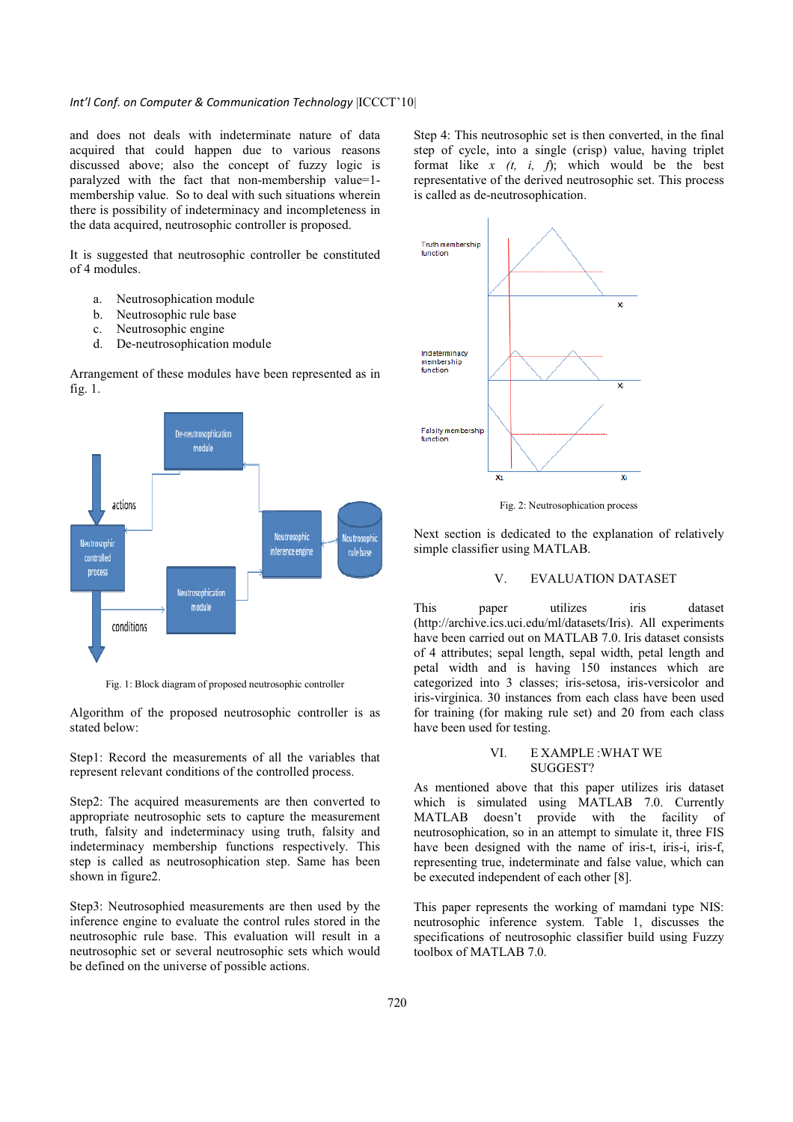## Int'l Conf. on Computer & Communication Technology |ICCCT'10|

and does not deals with indeterminate nature of data acquired that could happen due to various reasons discussed above; also the concept of fuzzy logic is paralyzed with the fact that non-membership value=1 membership value. So to deal with such situations wherein there is possibility of indeterminacy and incompleteness in the data acquired, neutrosophic controller is proposed.

It is suggested that neutrosophic controller be constituted of 4 modules.

- a. Neutrosophication module
- b. Neutrosophic rule base
- c. Neutrosophic engine
- d. De-neutrosophication module

Arrangement of these modules have been represented as in fig. 1.



Fig. 1: Block diagram of proposed neutrosophic controller

Algorithm of the proposed neutrosophic controller is as stated below:

Step1: Record the measurements of all the variables that represent relevant conditions of the controlled process.

Step2: The acquired measurements are then converted to appropriate neutrosophic sets to capture the measurement truth, falsity and indeterminacy using truth, falsity and indeterminacy membership functions respectively. This step is called as neutrosophication step. Same has been shown in figure2.

Step3: Neutrosophied measurements are then used by the inference engine to evaluate the control rules stored in the neutrosophic rule base. This evaluation will result in a neutrosophic set or several neutrosophic sets which would be defined on the universe of possible actions.

Step 4: This neutrosophic set is then converted, in the final step of cycle, into a single (crisp) value, having triplet format like *x (t, i, f*); which would be the best representative of the derived neutrosophic set. This process is called as de-neutrosophication.



Fig. 2: Neutrosophication process

Next section is dedicated to the explanation of relatively simple classifier using MATLAB.

## V. EVALUATION DATASET

This paper utilizes iris dataset (http://archive.ics.uci.edu/ml/datasets/Iris). All experiments have been carried out on MATLAB 7.0. Iris dataset consists of 4 attributes; sepal length, sepal width, petal length and petal width and is having 150 instances which are categorized into 3 classes; iris-setosa, iris-versicolor and iris-virginica. 30 instances from each class have been used for training (for making rule set) and 20 from each class have been used for testing.

### VI. E XAMPLE :WHAT WE SUGGEST?

As mentioned above that this paper utilizes iris dataset which is simulated using MATLAB 7.0. Currently MATLAB doesn't provide with the facility of neutrosophication, so in an attempt to simulate it, three FIS have been designed with the name of iris-t, iris-i, iris-f, representing true, indeterminate and false value, which can be executed independent of each other [8].

This paper represents the working of mamdani type NIS: neutrosophic inference system. Table 1, discusses the specifications of neutrosophic classifier build using Fuzzy toolbox of MATLAB 7.0.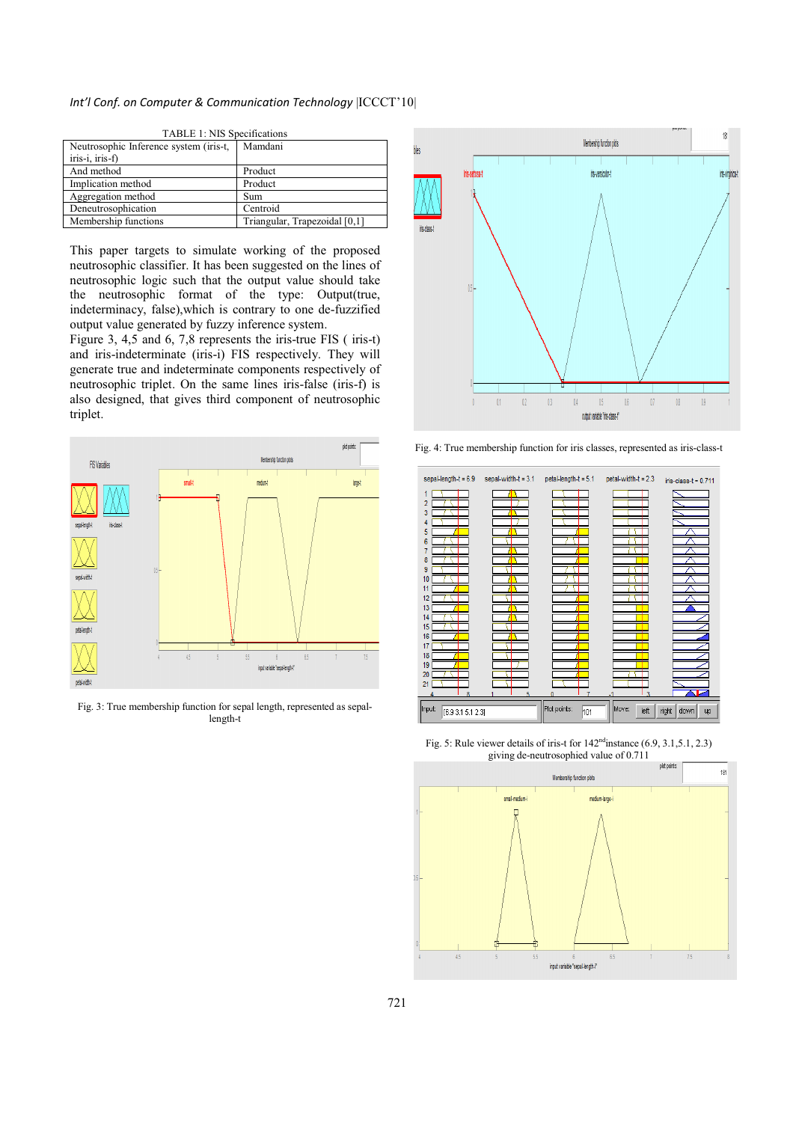## Int'l Conf. on Computer & Communication Technology |ICCCT'10|

| <b>TABLE 1: NIS Specifications</b>     |                               |
|----------------------------------------|-------------------------------|
| Neutrosophic Inference system (iris-t, | Mamdani                       |
| iris-i, iris-f)                        |                               |
| And method                             | Product                       |
| Implication method                     | Product                       |
| Aggregation method                     | Sum                           |
| Deneutrosophication                    | Centroid                      |
| Membership functions                   | Triangular, Trapezoidal [0,1] |

 $T \nabla$  1: NIS  $\theta$  and  $\theta$ 

This paper targets to simulate working of the proposed neutrosophic classifier. It has been suggested on the lines of neutrosophic logic such that the output value should take the neutrosophic format of the type: Output(true, indeterminacy, false),which is contrary to one de-fuzzified output value generated by fuzzy inference system.

Figure 3, 4,5 and 6, 7,8 represents the iris-true FIS ( iris-t) and iris-indeterminate (iris-i) FIS respectively. They will generate true and indeterminate components respectively of neutrosophic triplet. On the same lines iris-false (iris-f) is also designed, that gives third component of neutrosophic triplet.



Fig. 3: True membership function for sepal length, represented as sepallength-t



Fig. 4: True membership function for iris classes, represented as iris-class-t



Fig. 5: Rule viewer details of iris-t for  $142<sup>nd</sup>$  instance (6.9, 3.1, 5.1, 2.3) giving de-neutrosophied value of 0.711

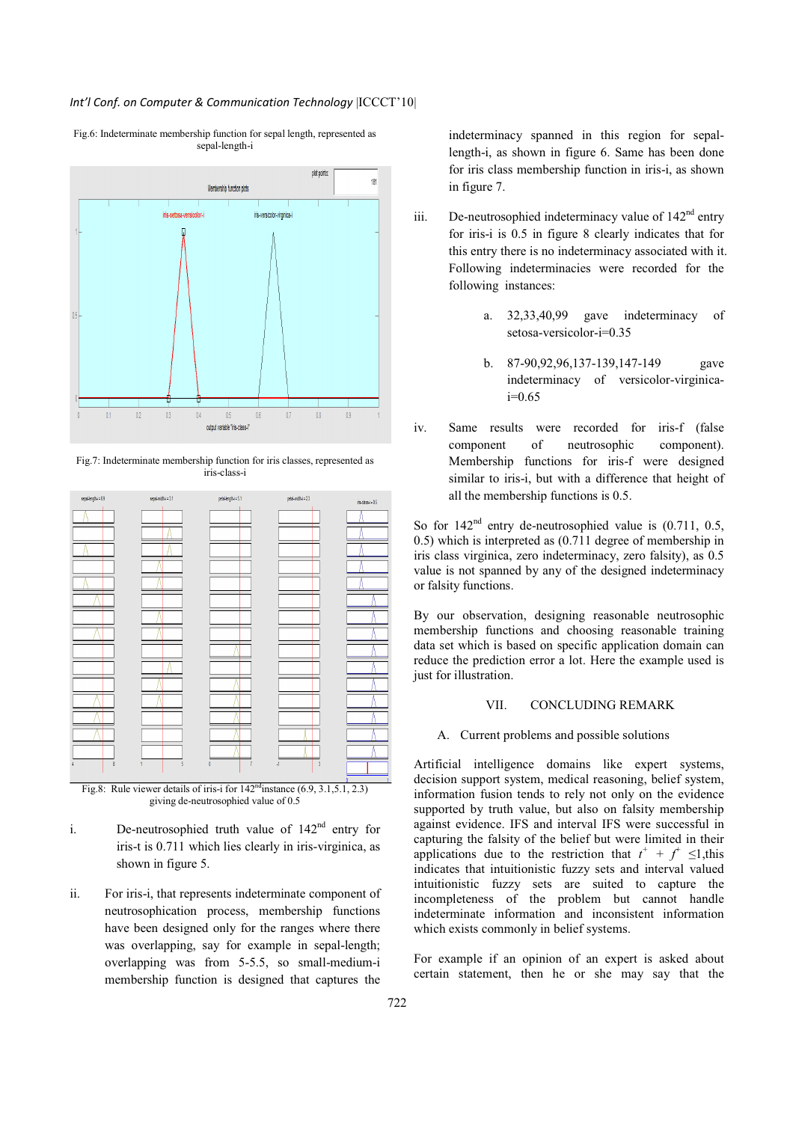## Int'l Conf. on Computer & Communication Technology |ICCCT'10|



Fig.6: Indeterminate membership function for sepal length, represented as sepal-length-i

Fig.7: Indeterminate membership function for iris classes, represented as iris-class-i



Fig.8: Rule viewer details of iris-i for  $142^{\text{nd}}$  instance  $(6.9, 3.1, 5.1, 2.3)$ giving de-neutrosophied value of 0.5

- i. De-neutrosophied truth value of  $142<sup>nd</sup>$  entry for iris-t is 0.711 which lies clearly in iris-virginica, as shown in figure 5.
- ii. For iris-i, that represents indeterminate component of neutrosophication process, membership functions have been designed only for the ranges where there was overlapping, say for example in sepal-length; overlapping was from 5-5.5, so small-medium-i membership function is designed that captures the

indeterminacy spanned in this region for sepallength-i, as shown in figure 6. Same has been done for iris class membership function in iris-i, as shown in figure 7.

- iii. De-neutrosophied indeterminacy value of  $142<sup>nd</sup>$  entry for iris-i is 0.5 in figure 8 clearly indicates that for this entry there is no indeterminacy associated with it. Following indeterminacies were recorded for the following instances:
	- a. 32,33,40,99 gave indeterminacy of setosa-versicolor-i=0.35
	- b. 87-90,92,96,137-139,147-149 gave indeterminacy of versicolor-virginica $i=0.65$
- iv. Same results were recorded for iris-f (false component of neutrosophic component). Membership functions for iris-f were designed similar to iris-i, but with a difference that height of all the membership functions is 0.5.

So for 142<sup>nd</sup> entry de-neutrosophied value is (0.711, 0.5, 0.5) which is interpreted as (0.711 degree of membership in iris class virginica, zero indeterminacy, zero falsity), as 0.5 value is not spanned by any of the designed indeterminacy or falsity functions.

By our observation, designing reasonable neutrosophic membership functions and choosing reasonable training data set which is based on specific application domain can reduce the prediction error a lot. Here the example used is just for illustration.

#### VII. CONCLUDING REMARK

#### A. Current problems and possible solutions

Artificial intelligence domains like expert systems, decision support system, medical reasoning, belief system, information fusion tends to rely not only on the evidence supported by truth value, but also on falsity membership against evidence. IFS and interval IFS were successful in capturing the falsity of the belief but were limited in their applications due to the restriction that  $t^+ + f^+ \leq 1$ , this indicates that intuitionistic fuzzy sets and interval valued intuitionistic fuzzy sets are suited to capture the incompleteness of the problem but cannot handle indeterminate information and inconsistent information which exists commonly in belief systems.

For example if an opinion of an expert is asked about certain statement, then he or she may say that the